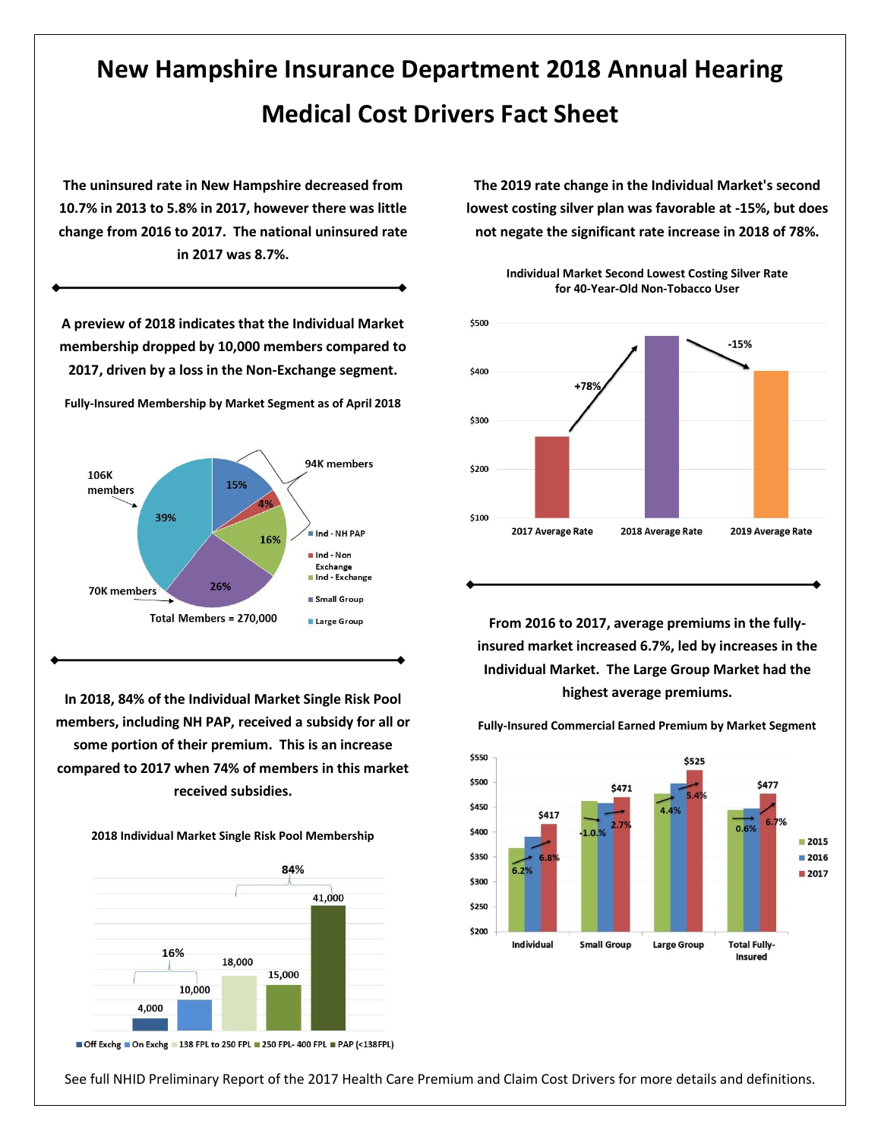## **New Hampshire Insurance Department 2018 Annual Hearing Medical Cost Drivers Fact Sheet**

**The uninsured rate in New Hampshire decreased from 10.7% in 2013 to 5.8% in 2017, however there was little change from 2016 to 2017. The national uninsured rate in 2017 was 8.7%.**

**A preview of 2018 indicates that the Individual Market membership dropped by 10,000 members compared to 2017, driven by a loss in the Non-Exchange segment. Fully-Insured Membership by Market Segment as of April 2018** 94K members 106K 15% members 4% 39% Ind - NH PAP 16% Ind - Non Exchange Ind - Exchange 26% 70K members Small Group Total Members = 270,000 **Large Group** 

**In 2018, 84% of the Individual Market Single Risk Pool members, including NH PAP, received a subsidy for all or some portion of their premium. This is an increase compared to 2017 when 74% of members in this market received subsidies.** 

**2018 Individual Market Single Risk Pool Membership**



Off Exchg On Exchg 138 FPL to 250 FPL 250 FPL-400 FPL PAP (<138 FPL)

**The 2019 rate change in the Individual Market's second lowest costing silver plan was favorable at -15%, but does not negate the significant rate increase in 2018 of 78%.**



**Individual Market Second Lowest Costing Silver Rate for 40-Year-Old Non-Tobacco User**

**From 2016 to 2017, average premiums in the fullyinsured market increased 6.7%, led by increases in the Individual Market. The Large Group Market had the highest average premiums.**



**Fully-Insured Commercial Earned Premium by Market Segment**

See full NHID Preliminary Report of the 2017 Health Care Premium and Claim Cost Drivers for more details and definitions.